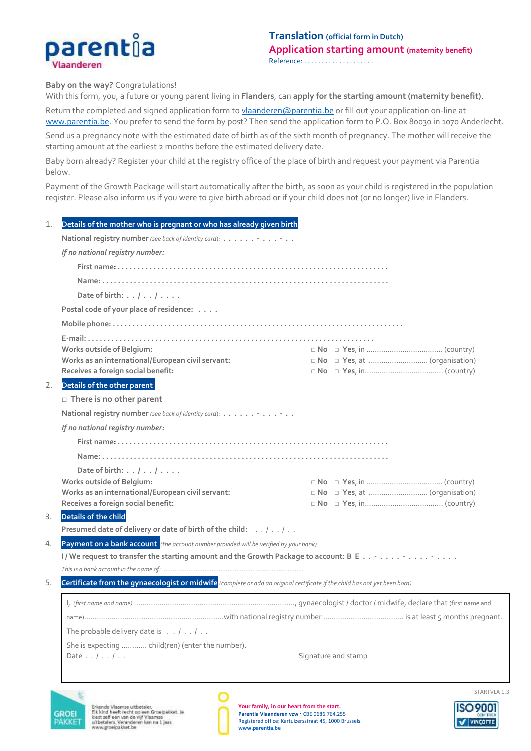

**Baby on the way?** Congratulations!

With this form, you, a future or young parent living in **Flanders**, can **apply for the starting amount (maternity benefit)**.

Return the completed and signed application form to *vlaanderen@parentia.be* or fill out your application on-line at [www.parentia.be.](http://www.parentia.be/) You prefer to send the form by post? Then send the application form to P.O. Box 80030 in 1070 Anderlecht.

Send us a pregnancy note with the estimated date of birth as of the sixth month of pregnancy. The mother will receive the starting amount at the earliest 2 months before the estimated delivery date.

Baby born already? Register your child at the registry office of the place of birth and request your payment via Parentia below.

Payment of the Growth Package will start automatically after the birth, as soon as your child is registered in the population register. Please also inform us if you were to give birth abroad or if your child does not (or no longer) live in Flanders.

| 1.                                                                                                                               | Details of the mother who is pregnant or who has already given birth                     |                     |
|----------------------------------------------------------------------------------------------------------------------------------|------------------------------------------------------------------------------------------|---------------------|
|                                                                                                                                  | National registry number (see back of identity card):<br>If no national registry number: |                     |
|                                                                                                                                  |                                                                                          |                     |
|                                                                                                                                  |                                                                                          |                     |
|                                                                                                                                  | Date of birth: $\ldots$ / $\ldots$ / $\ldots$ .                                          |                     |
|                                                                                                                                  | Postal code of your place of residence:                                                  |                     |
|                                                                                                                                  |                                                                                          |                     |
|                                                                                                                                  |                                                                                          |                     |
|                                                                                                                                  | <b>Works outside of Belgium:</b>                                                         |                     |
|                                                                                                                                  | Works as an international/European civil servant:                                        |                     |
|                                                                                                                                  | Receives a foreign social benefit:                                                       |                     |
| 2.                                                                                                                               | Details of the other parent                                                              |                     |
|                                                                                                                                  | $\Box$ There is no other parent                                                          |                     |
|                                                                                                                                  | National registry number (see back of identity card):                                    |                     |
|                                                                                                                                  | If no national registry number:                                                          |                     |
|                                                                                                                                  |                                                                                          |                     |
|                                                                                                                                  |                                                                                          |                     |
|                                                                                                                                  | Date of birth: $\ldots$ / $\ldots$ / $\ldots$ .                                          |                     |
|                                                                                                                                  | <b>Works outside of Belgium:</b>                                                         |                     |
|                                                                                                                                  | Works as an international/European civil servant:                                        |                     |
|                                                                                                                                  | Receives a foreign social benefit:                                                       |                     |
| 3.                                                                                                                               | Details of the child                                                                     |                     |
|                                                                                                                                  | Presumed date of delivery or date of birth of the child: / /                             |                     |
| 4.                                                                                                                               | Payment on a bank account (the account number provided will be verified by your bank)    |                     |
|                                                                                                                                  | I/We request to transfer the starting amount and the Growth Package to account: B E -    |                     |
|                                                                                                                                  |                                                                                          |                     |
| 5.<br>Certificate from the gynaecologist or midwife (complete or add an original certificate if the child has not yet been born) |                                                                                          |                     |
|                                                                                                                                  |                                                                                          |                     |
|                                                                                                                                  |                                                                                          |                     |
|                                                                                                                                  | The probable delivery date is $\ldots$ / $\ldots$ / $\ldots$                             |                     |
|                                                                                                                                  | She is expecting  child(ren) (enter the number).                                         |                     |
|                                                                                                                                  | Date $\ldots$ / $\ldots$ / $\ldots$                                                      | Signature and stamp |
|                                                                                                                                  |                                                                                          |                     |
|                                                                                                                                  |                                                                                          |                     |



Erkende Vlaamse uitbeteler.<br>Elk kind heeft recht op een Groeipakket. Je<br>kiest zelf een van de vijf Vlaamse<br>uitbetelers. Veranderen kan na 1 jaar.<br>www.groeipakket.be



**Your family, in our heart from the start.** Parentia Vlaanderen vzw · CBE 0686.764.255 Registered office: Kartuizersstraat 45, 1000 Brussels. **[www.parentia.be](http://www.parentia.be/)**



VINCOTTE